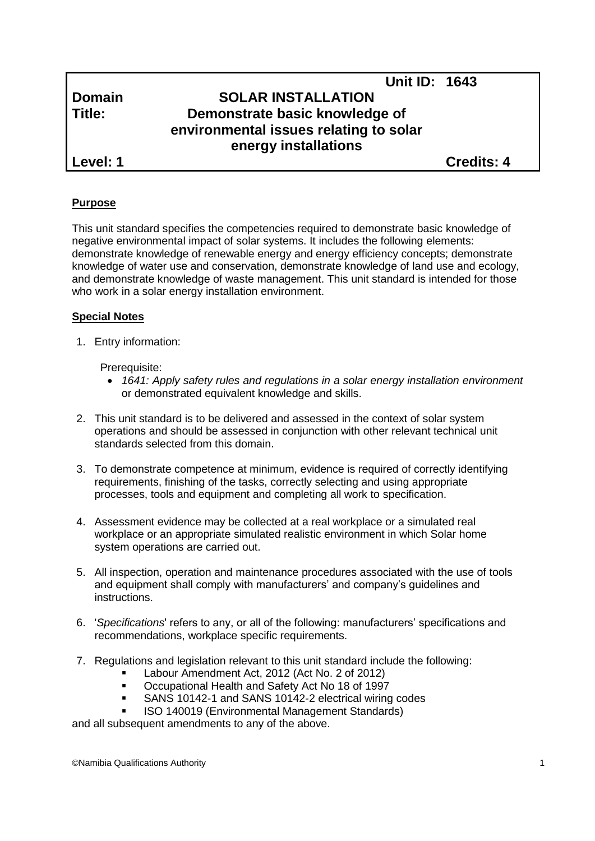# **Unit ID: 1643 Domain SOLAR INSTALLATION Title: Demonstrate basic knowledge of environmental issues relating to solar energy installations**

**Level: 1 Credits: 4**

### **Purpose**

This unit standard specifies the competencies required to demonstrate basic knowledge of negative environmental impact of solar systems. It includes the following elements: demonstrate knowledge of renewable energy and energy efficiency concepts; demonstrate knowledge of water use and conservation, demonstrate knowledge of land use and ecology, and demonstrate knowledge of waste management. This unit standard is intended for those who work in a solar energy installation environment.

#### **Special Notes**

1. Entry information:

Prerequisite:

- *1641: Apply safety rules and regulations in a solar energy installation environment*  or demonstrated equivalent knowledge and skills.
- 2. This unit standard is to be delivered and assessed in the context of solar system operations and should be assessed in conjunction with other relevant technical unit standards selected from this domain.
- 3. To demonstrate competence at minimum, evidence is required of correctly identifying requirements, finishing of the tasks, correctly selecting and using appropriate processes, tools and equipment and completing all work to specification.
- 4. Assessment evidence may be collected at a real workplace or a simulated real workplace or an appropriate simulated realistic environment in which Solar home system operations are carried out.
- 5. All inspection, operation and maintenance procedures associated with the use of tools and equipment shall comply with manufacturers' and company's guidelines and instructions.
- 6. '*Specifications*' refers to any, or all of the following: manufacturers' specifications and recommendations, workplace specific requirements.
- 7. Regulations and legislation relevant to this unit standard include the following:
	- Labour Amendment Act, 2012 (Act No. 2 of 2012)
	- Occupational Health and Safety Act No 18 of 1997
	- SANS 10142-1 and SANS 10142-2 electrical wiring codes
	- ISO 140019 (Environmental Management Standards)

and all subsequent amendments to any of the above.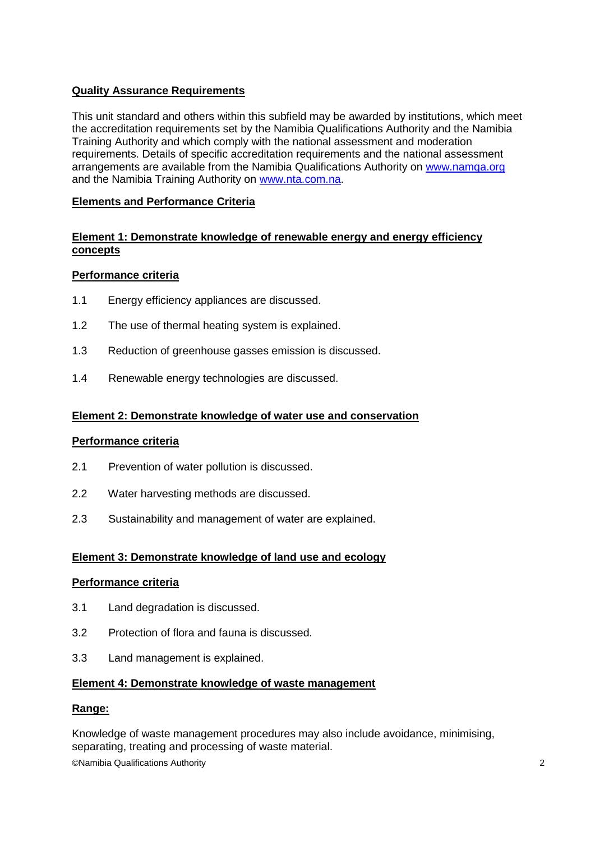### **Quality Assurance Requirements**

This unit standard and others within this subfield may be awarded by institutions, which meet the accreditation requirements set by the Namibia Qualifications Authority and the Namibia Training Authority and which comply with the national assessment and moderation requirements. Details of specific accreditation requirements and the national assessment arrangements are available from the Namibia Qualifications Authority on [www.namqa.org](http://www.namqa.org/) and the Namibia Training Authority on [www.nta.com.na.](http://www.nta.com.na/)

### **Elements and Performance Criteria**

#### **Element 1: Demonstrate knowledge of renewable energy and energy efficiency concepts**

#### **Performance criteria**

- 1.1 Energy efficiency appliances are discussed.
- 1.2 The use of thermal heating system is explained.
- 1.3 Reduction of greenhouse gasses emission is discussed.
- 1.4 Renewable energy technologies are discussed.

#### **Element 2: Demonstrate knowledge of water use and conservation**

#### **Performance criteria**

- 2.1 Prevention of water pollution is discussed.
- 2.2 Water harvesting methods are discussed.
- 2.3 Sustainability and management of water are explained.

#### **Element 3: Demonstrate knowledge of land use and ecology**

#### **Performance criteria**

- 3.1 Land degradation is discussed.
- 3.2 Protection of flora and fauna is discussed.
- 3.3 Land management is explained.

#### **Element 4: Demonstrate knowledge of waste management**

#### **Range:**

Knowledge of waste management procedures may also include avoidance, minimising, separating, treating and processing of waste material.

©Namibia Qualifications Authority 2